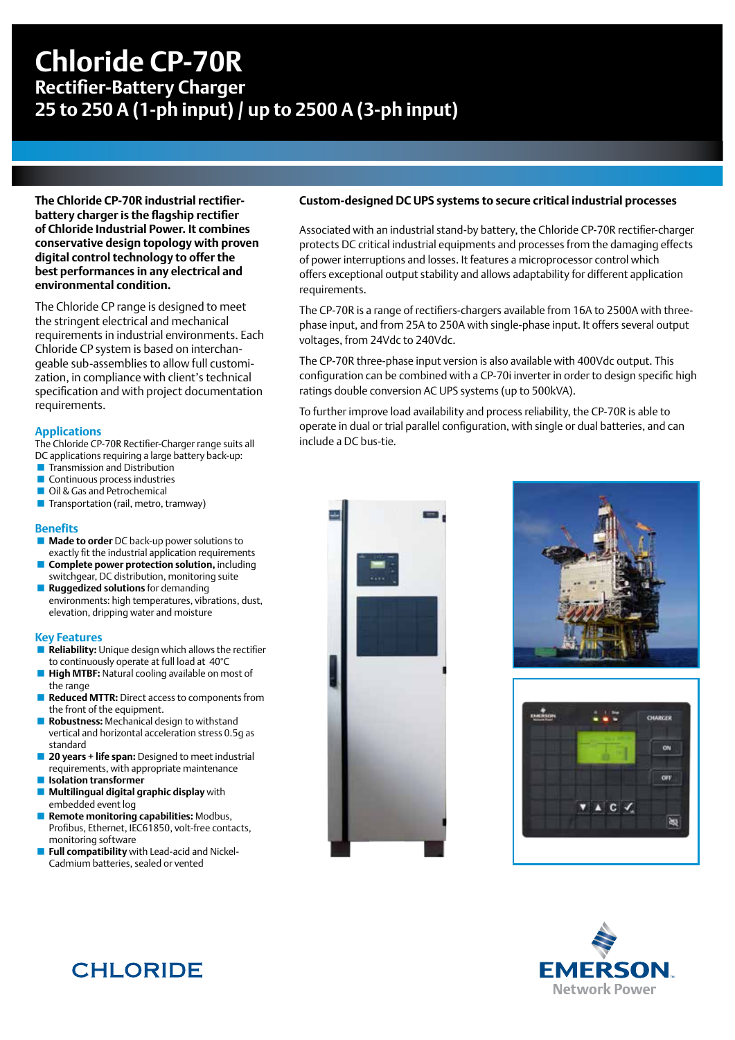# **Chloride CP-70R Rectifier-Battery Charger 25 to 250 A (1-ph input) / up to 2500 A (3-ph input)**

**The Chloride CP-70R industrial rectifierbattery charger is the flagship rectifier of Chloride Industrial Power. It combines conservative design topology with proven digital control technology to offer the best performances in any electrical and environmental condition.**

The Chloride CP range is designed to meet the stringent electrical and mechanical requirements in industrial environments. Each Chloride CP system is based on interchangeable sub-assemblies to allow full customization, in compliance with client's technical specification and with project documentation requirements.

### **Applications**

The Chloride CP-70R Rectifier-Charger range suits all DC applications requiring a large battery back-up:

- **Transmission and Distribution**
- **Continuous process industries**
- Oil & Gas and Petrochemical **Transportation (rail, metro, tramway)**

## **Benefits**

- **Made to order** DC back-up power solutions to exactly fit the industrial application requirements
- **Complete power protection solution, including** switchgear, DC distribution, monitoring suite
- **Ruggedized solutions** for demanding environments: high temperatures, vibrations, dust, elevation, dripping water and moisture

#### **Key Features**

- **Reliability:** Unique design which allows the rectifier to continuously operate at full load at 40°C
- **High MTBF:** Natural cooling available on most of the range
- **Reduced MTTR:** Direct access to components from the front of the equipment.
- **Robustness:** Mechanical design to withstand vertical and horizontal acceleration stress 0.5g as standard
- **20 years + life span:** Designed to meet industrial requirements, with appropriate maintenance
- **Isolation transformer**
- **Multilingual digital graphic display** with embedded event log
- **Remote monitoring capabilities:** Modbus, Profibus, Ethernet, IEC61850, volt-free contacts, monitoring software
- **Full compatibility** with Lead-acid and Nickel-Cadmium batteries, sealed or vented

### **Custom-designed DC UPS systems to secure critical industrial processes**

Associated with an industrial stand-by battery, the Chloride CP-70R rectifier-charger protects DC critical industrial equipments and processes from the damaging effects of power interruptions and losses. It features a microprocessor control which offers exceptional output stability and allows adaptability for different application requirements.

The CP-70R is a range of rectifiers-chargers available from 16A to 2500A with threephase input, and from 25A to 250A with single-phase input. It offers several output voltages, from 24Vdc to 240Vdc.

The CP-70R three-phase input version is also available with 400Vdc output. This configuration can be combined with a CP-70i inverter in order to design specific high ratings double conversion AC UPS systems (up to 500kVA).

To further improve load availability and process reliability, the CP-70R is able to operate in dual or trial parallel configuration, with single or dual batteries, and can include a DC bus-tie.